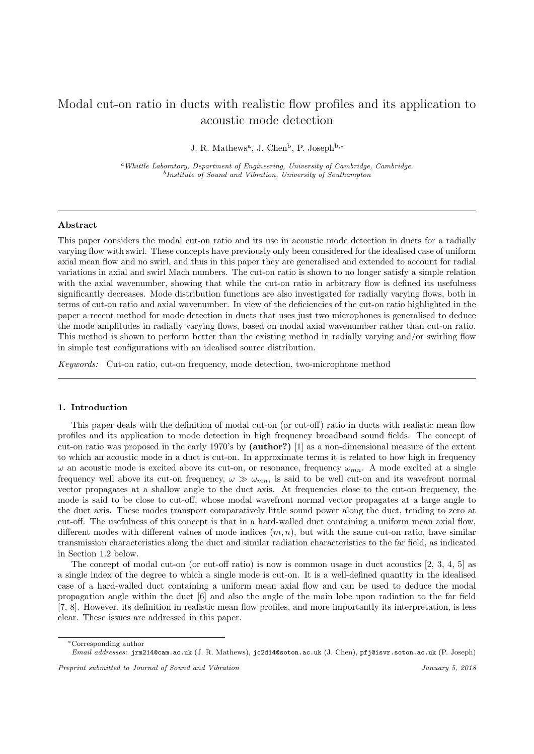# Modal cut-on ratio in ducts with realistic flow profiles and its application to acoustic mode detection

J. R. Mathews<sup>a</sup>, J. Chen<sup>b</sup>, P. Joseph<sup>b,\*</sup>

<sup>a</sup>Whittle Laboratory, Department of Engineering, University of Cambridge, Cambridge. b Institute of Sound and Vibration, University of Southampton

# Abstract

This paper considers the modal cut-on ratio and its use in acoustic mode detection in ducts for a radially varying flow with swirl. These concepts have previously only been considered for the idealised case of uniform axial mean flow and no swirl, and thus in this paper they are generalised and extended to account for radial variations in axial and swirl Mach numbers. The cut-on ratio is shown to no longer satisfy a simple relation with the axial wavenumber, showing that while the cut-on ratio in arbitrary flow is defined its usefulness significantly decreases. Mode distribution functions are also investigated for radially varying flows, both in terms of cut-on ratio and axial wavenumber. In view of the deficiencies of the cut-on ratio highlighted in the paper a recent method for mode detection in ducts that uses just two microphones is generalised to deduce the mode amplitudes in radially varying flows, based on modal axial wavenumber rather than cut-on ratio. This method is shown to perform better than the existing method in radially varying and/or swirling flow in simple test configurations with an idealised source distribution.

Keywords: Cut-on ratio, cut-on frequency, mode detection, two-microphone method

# 1. Introduction

This paper deals with the definition of modal cut-on (or cut-off) ratio in ducts with realistic mean flow profiles and its application to mode detection in high frequency broadband sound fields. The concept of cut-on ratio was proposed in the early 1970's by (author?) [1] as a non-dimensional measure of the extent to which an acoustic mode in a duct is cut-on. In approximate terms it is related to how high in frequency  $\omega$  an acoustic mode is excited above its cut-on, or resonance, frequency  $\omega_{mn}$ . A mode excited at a single frequency well above its cut-on frequency,  $\omega \gg \omega_{mn}$ , is said to be well cut-on and its wavefront normal vector propagates at a shallow angle to the duct axis. At frequencies close to the cut-on frequency, the mode is said to be close to cut-off, whose modal wavefront normal vector propagates at a large angle to the duct axis. These modes transport comparatively little sound power along the duct, tending to zero at cut-off. The usefulness of this concept is that in a hard-walled duct containing a uniform mean axial flow, different modes with different values of mode indices  $(m, n)$ , but with the same cut-on ratio, have similar transmission characteristics along the duct and similar radiation characteristics to the far field, as indicated in Section 1.2 below.

The concept of modal cut-on (or cut-off ratio) is now is common usage in duct acoustics [2, 3, 4, 5] as a single index of the degree to which a single mode is cut-on. It is a well-defined quantity in the idealised case of a hard-walled duct containing a uniform mean axial flow and can be used to deduce the modal propagation angle within the duct [6] and also the angle of the main lobe upon radiation to the far field [7, 8]. However, its definition in realistic mean flow profiles, and more importantly its interpretation, is less clear. These issues are addressed in this paper.

<sup>∗</sup>Corresponding author

Email addresses: jrm214@cam.ac.uk (J. R. Mathews), jc2d14@soton.ac.uk (J. Chen), pfj@isvr.soton.ac.uk (P. Joseph)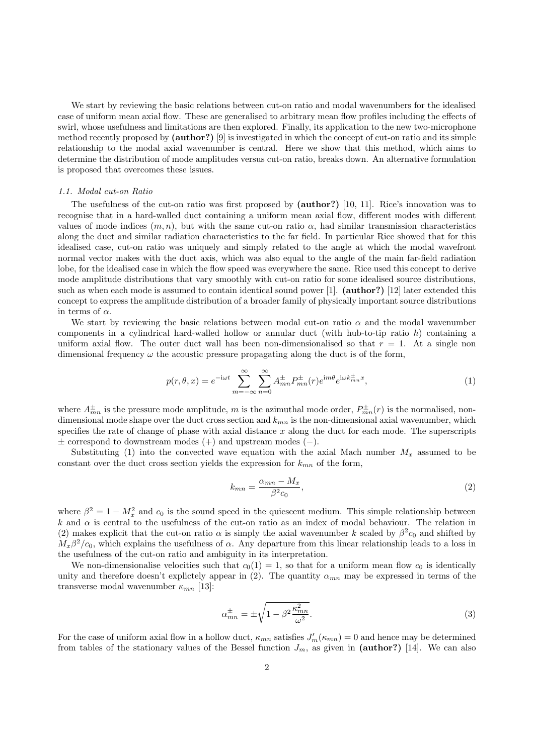We start by reviewing the basic relations between cut-on ratio and modal wavenumbers for the idealised case of uniform mean axial flow. These are generalised to arbitrary mean flow profiles including the effects of swirl, whose usefulness and limitations are then explored. Finally, its application to the new two-microphone method recently proposed by (author?) [9] is investigated in which the concept of cut-on ratio and its simple relationship to the modal axial wavenumber is central. Here we show that this method, which aims to determine the distribution of mode amplitudes versus cut-on ratio, breaks down. An alternative formulation is proposed that overcomes these issues.

# 1.1. Modal cut-on Ratio

The usefulness of the cut-on ratio was first proposed by (author?) [10, 11]. Rice's innovation was to recognise that in a hard-walled duct containing a uniform mean axial flow, different modes with different values of mode indices  $(m, n)$ , but with the same cut-on ratio  $\alpha$ , had similar transmission characteristics along the duct and similar radiation characteristics to the far field. In particular Rice showed that for this idealised case, cut-on ratio was uniquely and simply related to the angle at which the modal wavefront normal vector makes with the duct axis, which was also equal to the angle of the main far-field radiation lobe, for the idealised case in which the flow speed was everywhere the same. Rice used this concept to derive mode amplitude distributions that vary smoothly with cut-on ratio for some idealised source distributions, such as when each mode is assumed to contain identical sound power [1]. (author?) [12] later extended this concept to express the amplitude distribution of a broader family of physically important source distributions in terms of  $\alpha$ .

We start by reviewing the basic relations between modal cut-on ratio  $\alpha$  and the modal wavenumber components in a cylindrical hard-walled hollow or annular duct (with hub-to-tip ratio  $h$ ) containing a uniform axial flow. The outer duct wall has been non-dimensionalised so that  $r = 1$ . At a single non dimensional frequency  $\omega$  the acoustic pressure propagating along the duct is of the form,

$$
p(r,\theta,x) = e^{-i\omega t} \sum_{m=-\infty}^{\infty} \sum_{n=0}^{\infty} A_{mn}^{\pm} P_{mn}^{\pm}(r) e^{im\theta} e^{i\omega k_{mn}^{\pm}x},\tag{1}
$$

where  $A_{mn}^{\pm}$  is the pressure mode amplitude, m is the azimuthal mode order,  $P_{mn}^{\pm}(r)$  is the normalised, nondimensional mode shape over the duct cross section and  $k_{mn}$  is the non-dimensional axial wavenumber, which specifies the rate of change of phase with axial distance  $x$  along the duct for each mode. The superscripts ± correspond to downstream modes (+) and upstream modes (−).

Substituting (1) into the convected wave equation with the axial Mach number  $M_x$  assumed to be constant over the duct cross section yields the expression for  $k_{mn}$  of the form,

$$
k_{mn} = \frac{\alpha_{mn} - M_x}{\beta^2 c_0},\tag{2}
$$

where  $\beta^2 = 1 - M_x^2$  and  $c_0$  is the sound speed in the quiescent medium. This simple relationship between k and  $\alpha$  is central to the usefulness of the cut-on ratio as an index of modal behaviour. The relation in (2) makes explicit that the cut-on ratio  $\alpha$  is simply the axial wavenumber k scaled by  $\beta^2 c_0$  and shifted by  $M_x\beta^2/c_0$ , which explains the usefulness of  $\alpha$ . Any departure from this linear relationship leads to a loss in the usefulness of the cut-on ratio and ambiguity in its interpretation.

We non-dimensionalise velocities such that  $c_0(1) = 1$ , so that for a uniform mean flow  $c_0$  is identically unity and therefore doesn't explictely appear in (2). The quantity  $\alpha_{mn}$  may be expressed in terms of the transverse modal wavenumber  $\kappa_{mn}$  [13]:

$$
\alpha_{mn}^{\pm} = \pm \sqrt{1 - \beta^2 \frac{\kappa_{mn}^2}{\omega^2}}.
$$
\n(3)

For the case of uniform axial flow in a hollow duct,  $\kappa_{mn}$  satisfies  $J'_m(\kappa_{mn}) = 0$  and hence may be determined from tables of the stationary values of the Bessel function  $J_m$ , as given in (author?) [14]. We can also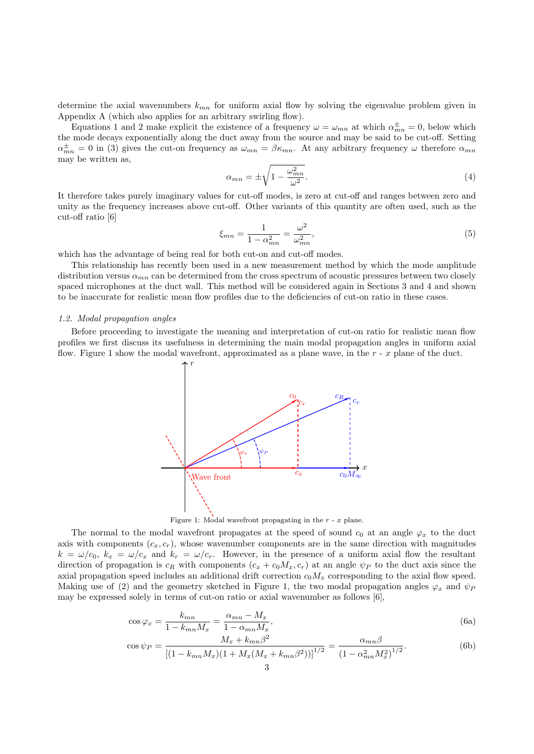determine the axial wavenumbers  $k_{mn}$  for uniform axial flow by solving the eigenvalue problem given in Appendix A (which also applies for an arbitrary swirling flow).

Equations 1 and 2 make explicit the existence of a frequency  $\omega = \omega_{mn}$  at which  $\alpha_{mn}^{\pm} = 0$ , below which the mode decays exponentially along the duct away from the source and may be said to be cut-off. Setting  $\alpha_{mn}^{\pm}=0$  in (3) gives the cut-on frequency as  $\omega_{mn}=\beta\kappa_{mn}$ . At any arbitrary frequency  $\omega$  therefore  $\alpha_{mn}$ may be written as,

$$
\alpha_{mn} = \pm \sqrt{1 - \frac{\omega_{mn}^2}{\omega^2}}.
$$
\n<sup>(4)</sup>

It therefore takes purely imaginary values for cut-off modes, is zero at cut-off and ranges between zero and unity as the frequency increases above cut-off. Other variants of this quantity are often used, such as the cut-off ratio [6]

$$
\xi_{mn} = \frac{1}{1 - \alpha_{mn}^2} = \frac{\omega^2}{\omega_{mn}^2},\tag{5}
$$

which has the advantage of being real for both cut-on and cut-off modes.

This relationship has recently been used in a new measurement method by which the mode amplitude distribution versus  $\alpha_{mn}$  can be determined from the cross spectrum of acoustic pressures between two closely spaced microphones at the duct wall. This method will be considered again in Sections 3 and 4 and shown to be inaccurate for realistic mean flow profiles due to the deficiencies of cut-on ratio in these cases.

# 1.2. Modal propagation angles

Before proceeding to investigate the meaning and interpretation of cut-on ratio for realistic mean flow profiles we first discuss its usefulness in determining the main modal propagation angles in uniform axial flow. Figure 1 show the modal wavefront, approximated as a plane wave, in the  $r - x$  plane of the duct.



Figure 1: Modal wavefront propagating in the  $r - x$  plane.

The normal to the modal wavefront propagates at the speed of sound  $c_0$  at an angle  $\varphi_x$  to the duct axis with components  $(c_x, c_y)$ , whose wavenumber components are in the same direction with magnitudes  $k = \omega/c_0$ ,  $k_x = \omega/c_x$  and  $k_x = \omega/c_y$ . However, in the presence of a uniform axial flow the resultant direction of propagation is  $c_R$  with components  $(c_x + c_0 M_x, c_r)$  at an angle  $\psi_P$  to the duct axis since the axial propagation speed includes an additional drift correction  $c_0M_x$  corresponding to the axial flow speed. Making use of (2) and the geometry sketched in Figure 1, the two modal propagation angles  $\varphi_x$  and  $\psi_P$ may be expressed solely in terms of cut-on ratio or axial wavenumber as follows [6],

$$
\cos\varphi_x = \frac{k_{mn}}{1 - k_{mn}M_x} = \frac{\alpha_{mn} - M_x}{1 - \alpha_{mn}M_x},\tag{6a}
$$

$$
\cos \psi_P = \frac{M_x + k_{mn} \beta^2}{\left[ (1 - k_{mn} M_x)(1 + M_x (M_x + k_{mn} \beta^2)) \right]^{1/2}} = \frac{\alpha_{mn} \beta}{\left( 1 - \alpha_{mn}^2 M_x^2 \right)^{1/2}}.
$$
(6b)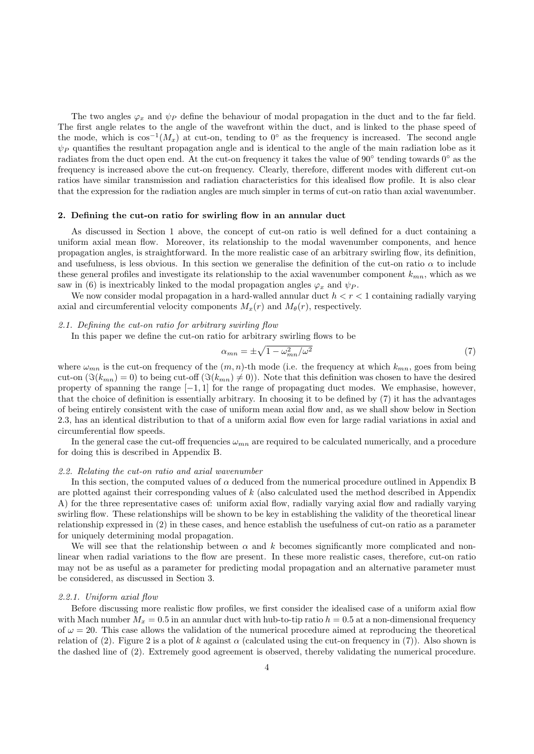The two angles  $\varphi_x$  and  $\psi_P$  define the behaviour of modal propagation in the duct and to the far field. The first angle relates to the angle of the wavefront within the duct, and is linked to the phase speed of the mode, which is  $\cos^{-1}(M_x)$  at cut-on, tending to 0<sup>°</sup> as the frequency is increased. The second angle  $\psi_P$  quantifies the resultant propagation angle and is identical to the angle of the main radiation lobe as it radiates from the duct open end. At the cut-on frequency it takes the value of  $90^{\circ}$  tending towards  $0^{\circ}$  as the frequency is increased above the cut-on frequency. Clearly, therefore, different modes with different cut-on ratios have similar transmission and radiation characteristics for this idealised flow profile. It is also clear that the expression for the radiation angles are much simpler in terms of cut-on ratio than axial wavenumber.

### 2. Defining the cut-on ratio for swirling flow in an annular duct

As discussed in Section 1 above, the concept of cut-on ratio is well defined for a duct containing a uniform axial mean flow. Moreover, its relationship to the modal wavenumber components, and hence propagation angles, is straightforward. In the more realistic case of an arbitrary swirling flow, its definition, and usefulness, is less obvious. In this section we generalise the definition of the cut-on ratio  $\alpha$  to include these general profiles and investigate its relationship to the axial wavenumber component  $k_{mn}$ , which as we saw in (6) is inextricably linked to the modal propagation angles  $\varphi_x$  and  $\psi_P$ .

We now consider modal propagation in a hard-walled annular duct  $h < r < 1$  containing radially varying axial and circumferential velocity components  $M_x(r)$  and  $M_\theta(r)$ , respectively.

### 2.1. Defining the cut-on ratio for arbitrary swirling flow

In this paper we define the cut-on ratio for arbitrary swirling flows to be

$$
\alpha_{mn} = \pm \sqrt{1 - \omega_{mn}^2/\omega^2} \tag{7}
$$

where  $\omega_{mn}$  is the cut-on frequency of the  $(m, n)$ -th mode (i.e. the frequency at which  $k_{mn}$ , goes from being cut-on  $(\Im(k_{mn}) = 0)$  to being cut-off  $(\Im(k_{mn}) \neq 0)$ ). Note that this definition was chosen to have the desired property of spanning the range  $[-1, 1]$  for the range of propagating duct modes. We emphasise, however, that the choice of definition is essentially arbitrary. In choosing it to be defined by (7) it has the advantages of being entirely consistent with the case of uniform mean axial flow and, as we shall show below in Section 2.3, has an identical distribution to that of a uniform axial flow even for large radial variations in axial and circumferential flow speeds.

In the general case the cut-off frequencies  $\omega_{mn}$  are required to be calculated numerically, and a procedure for doing this is described in Appendix B.

### 2.2. Relating the cut-on ratio and axial wavenumber

In this section, the computed values of  $\alpha$  deduced from the numerical procedure outlined in Appendix B are plotted against their corresponding values of k (also calculated used the method described in Appendix A) for the three representative cases of: uniform axial flow, radially varying axial flow and radially varying swirling flow. These relationships will be shown to be key in establishing the validity of the theoretical linear relationship expressed in (2) in these cases, and hence establish the usefulness of cut-on ratio as a parameter for uniquely determining modal propagation.

We will see that the relationship between  $\alpha$  and k becomes significantly more complicated and nonlinear when radial variations to the flow are present. In these more realistic cases, therefore, cut-on ratio may not be as useful as a parameter for predicting modal propagation and an alternative parameter must be considered, as discussed in Section 3.

### 2.2.1. Uniform axial flow

Before discussing more realistic flow profiles, we first consider the idealised case of a uniform axial flow with Mach number  $M_x = 0.5$  in an annular duct with hub-to-tip ratio  $h = 0.5$  at a non-dimensional frequency of  $\omega = 20$ . This case allows the validation of the numerical procedure aimed at reproducing the theoretical relation of (2). Figure 2 is a plot of k against  $\alpha$  (calculated using the cut-on frequency in (7)). Also shown is the dashed line of (2). Extremely good agreement is observed, thereby validating the numerical procedure.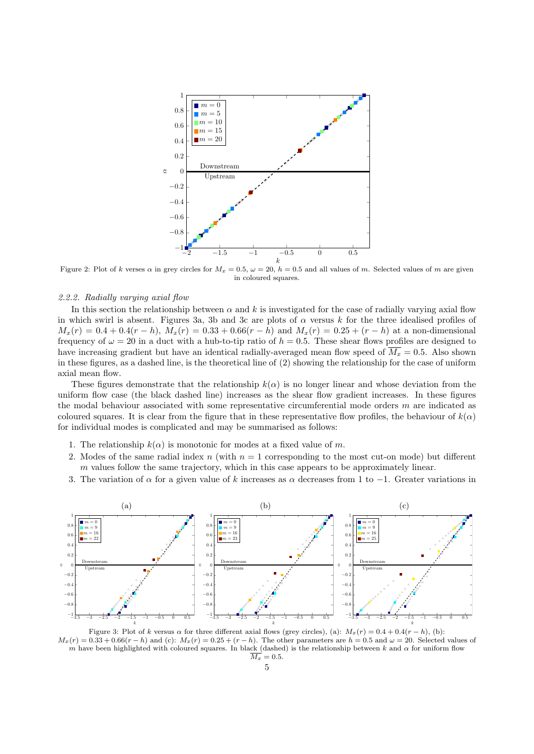

Figure 2: Plot of k verses  $\alpha$  in grey circles for  $M_x = 0.5$ ,  $\omega = 20$ ,  $h = 0.5$  and all values of m. Selected values of m are given in coloured squares.

# 2.2.2. Radially varying axial flow

In this section the relationship between  $\alpha$  and k is investigated for the case of radially varying axial flow in which swirl is absent. Figures 3a, 3b and 3c are plots of  $\alpha$  versus k for the three idealised profiles of  $M_x(r) = 0.4 + 0.4(r - h)$ ,  $M_x(r) = 0.33 + 0.66(r - h)$  and  $M_x(r) = 0.25 + (r - h)$  at a non-dimensional frequency of  $\omega = 20$  in a duct with a hub-to-tip ratio of  $h = 0.5$ . These shear flows profiles are designed to have increasing gradient but have an identical radially-averaged mean flow speed of  $\overline{M_x} = 0.5$ . Also shown in these figures, as a dashed line, is the theoretical line of (2) showing the relationship for the case of uniform axial mean flow.

These figures demonstrate that the relationship  $k(\alpha)$  is no longer linear and whose deviation from the uniform flow case (the black dashed line) increases as the shear flow gradient increases. In these figures the modal behaviour associated with some representative circumferential mode orders  $m$  are indicated as coloured squares. It is clear from the figure that in these representative flow profiles, the behaviour of  $k(\alpha)$ for individual modes is complicated and may be summarised as follows:

- 1. The relationship  $k(\alpha)$  is monotonic for modes at a fixed value of m.
- 2. Modes of the same radial index n (with  $n = 1$  corresponding to the most cut-on mode) but different  $m$  values follow the same trajectory, which in this case appears to be approximately linear.
- 3. The variation of  $\alpha$  for a given value of k increases as  $\alpha$  decreases from 1 to -1. Greater variations in



Figure 3: Plot of k versus  $\alpha$  for three different axial flows (grey circles), (a):  $M_x(r) = 0.4 + 0.4(r - h)$ , (b):  $M_x(r) = 0.33 + 0.66(r - h)$  and (c):  $M_x(r) = 0.25 + (r - h)$ . The other parameters are  $h = 0.5$  and  $\omega = 20$ . Selected values of m have been highlighted with coloured squares. In black (dashed) is the relationship between k and  $\alpha$  for uniform flow  $\overline{M_x} = 0.5.$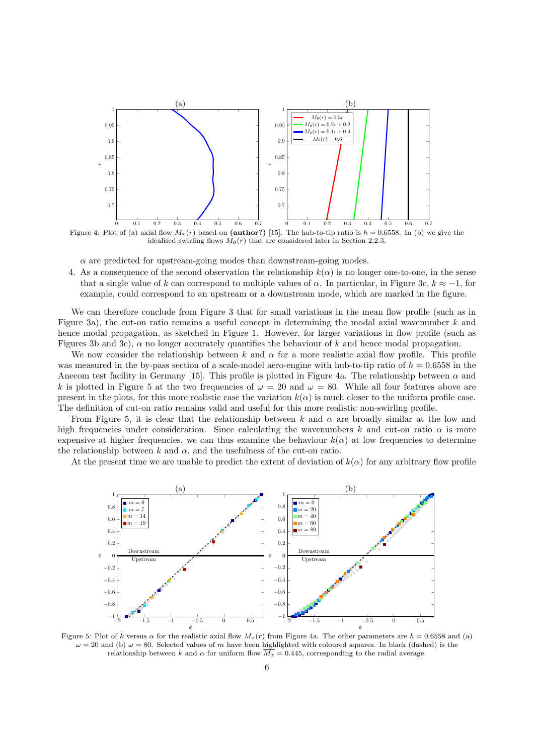

 $\alpha$  are predicted for upstream-going modes than downstream-going modes.

4. As a consequence of the second observation the relationship  $k(\alpha)$  is no longer one-to-one, in the sense that a single value of k can correspond to multiple values of  $\alpha$ . In particular, in Figure 3c,  $k \approx -1$ , for example, could correspond to an upstream or a downstream mode, which are marked in the figure.

We can therefore conclude from Figure 3 that for small variations in the mean flow profile (such as in Figure 3a), the cut-on ratio remains a useful concept in determining the modal axial wavenumber  $k$  and hence modal propagation, as sketched in Figure 1. However, for larger variations in flow profile (such as Figures 3b and 3c),  $\alpha$  no longer accurately quantifies the behaviour of k and hence modal propagation.

We now consider the relationship between k and  $\alpha$  for a more realistic axial flow profile. This profile was measured in the by-pass section of a scale-model aero-engine with hub-to-tip ratio of  $h = 0.6558$  in the Anecom test facility in Germany [15]. This profile is plotted in Figure 4a. The relationship between  $\alpha$  and k is plotted in Figure 5 at the two frequencies of  $\omega = 20$  and  $\omega = 80$ . While all four features above are present in the plots, for this more realistic case the variation  $k(\alpha)$  is much closer to the uniform profile case. The definition of cut-on ratio remains valid and useful for this more realistic non-swirling profile.

From Figure 5, it is clear that the relationship between k and  $\alpha$  are broadly similar at the low and high frequencies under consideration. Since calculating the wavenumbers k and cut-on ratio  $\alpha$  is more expensive at higher frequencies, we can thus examine the behaviour  $k(\alpha)$  at low frequencies to determine the relationship between k and  $\alpha$ , and the usefulness of the cut-on ratio.

At the present time we are unable to predict the extent of deviation of  $k(\alpha)$  for any arbitrary flow profile



Figure 5: Plot of k versus  $\alpha$  for the realistic axial flow  $M_x(r)$  from Figure 4a. The other parameters are  $h = 0.6558$  and (a)  $\omega = 20$  and (b)  $\omega = 80$ . Selected values of m have been highlighted with coloured squares. In black (dashed) is the relationship between k and  $\alpha$  for uniform flow  $\overline{M_x} = 0.445$ , corresponding to the radial average.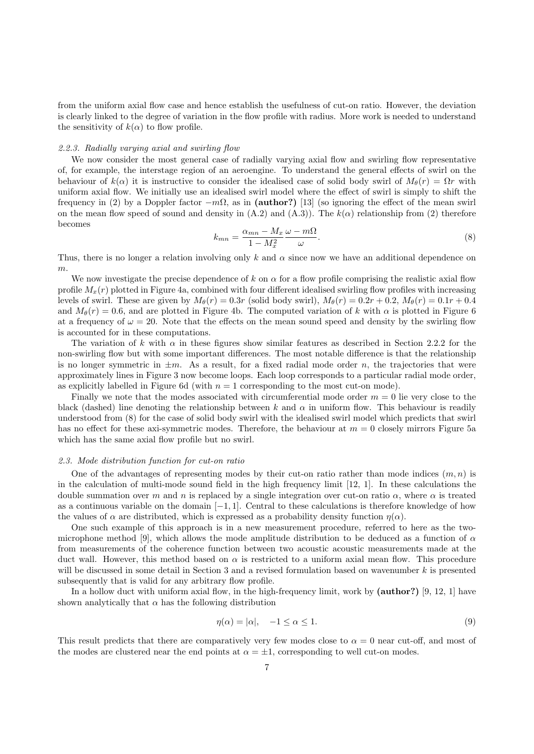from the uniform axial flow case and hence establish the usefulness of cut-on ratio. However, the deviation is clearly linked to the degree of variation in the flow profile with radius. More work is needed to understand the sensitivity of  $k(\alpha)$  to flow profile.

#### 2.2.3. Radially varying axial and swirling flow

We now consider the most general case of radially varying axial flow and swirling flow representative of, for example, the interstage region of an aeroengine. To understand the general effects of swirl on the behaviour of  $k(\alpha)$  it is instructive to consider the idealised case of solid body swirl of  $M_{\theta}(r) = \Omega r$  with uniform axial flow. We initially use an idealised swirl model where the effect of swirl is simply to shift the frequency in (2) by a Doppler factor  $-m\Omega$ , as in (author?) [13] (so ignoring the effect of the mean swirl on the mean flow speed of sound and density in  $(A.2)$  and  $(A.3)$ ). The  $k(\alpha)$  relationship from (2) therefore becomes

$$
k_{mn} = \frac{\alpha_{mn} - M_x}{1 - M_x^2} \frac{\omega - m\Omega}{\omega}.
$$
\n(8)

Thus, there is no longer a relation involving only k and  $\alpha$  since now we have an additional dependence on m.

We now investigate the precise dependence of k on  $\alpha$  for a flow profile comprising the realistic axial flow profile  $M_x(r)$  plotted in Figure 4a, combined with four different idealised swirling flow profiles with increasing levels of swirl. These are given by  $M_{\theta}(r) = 0.3r$  (solid body swirl),  $M_{\theta}(r) = 0.2r + 0.2$ ,  $M_{\theta}(r) = 0.1r + 0.4$ and  $M_{\theta}(r) = 0.6$ , and are plotted in Figure 4b. The computed variation of k with  $\alpha$  is plotted in Figure 6 at a frequency of  $\omega = 20$ . Note that the effects on the mean sound speed and density by the swirling flow is accounted for in these computations.

The variation of k with  $\alpha$  in these figures show similar features as described in Section 2.2.2 for the non-swirling flow but with some important differences. The most notable difference is that the relationship is no longer symmetric in  $\pm m$ . As a result, for a fixed radial mode order n, the trajectories that were approximately lines in Figure 3 now become loops. Each loop corresponds to a particular radial mode order, as explicitly labelled in Figure 6d (with  $n = 1$  corresponding to the most cut-on mode).

Finally we note that the modes associated with circumferential mode order  $m = 0$  lie very close to the black (dashed) line denoting the relationship between k and  $\alpha$  in uniform flow. This behaviour is readily understood from (8) for the case of solid body swirl with the idealised swirl model which predicts that swirl has no effect for these axi-symmetric modes. Therefore, the behaviour at  $m = 0$  closely mirrors Figure 5a which has the same axial flow profile but no swirl.

### 2.3. Mode distribution function for cut-on ratio

One of the advantages of representing modes by their cut-on ratio rather than mode indices  $(m, n)$  is in the calculation of multi-mode sound field in the high frequency limit [12, 1]. In these calculations the double summation over m and n is replaced by a single integration over cut-on ratio  $\alpha$ , where  $\alpha$  is treated as a continuous variable on the domain  $[-1, 1]$ . Central to these calculations is therefore knowledge of how the values of  $\alpha$  are distributed, which is expressed as a probability density function  $\eta(\alpha)$ .

One such example of this approach is in a new measurement procedure, referred to here as the twomicrophone method [9], which allows the mode amplitude distribution to be deduced as a function of  $\alpha$ from measurements of the coherence function between two acoustic acoustic measurements made at the duct wall. However, this method based on  $\alpha$  is restricted to a uniform axial mean flow. This procedure will be discussed in some detail in Section 3 and a revised formulation based on wavenumber  $k$  is presented subsequently that is valid for any arbitrary flow profile.

In a hollow duct with uniform axial flow, in the high-frequency limit, work by (author?) [9, 12, 1] have shown analytically that  $\alpha$  has the following distribution

$$
\eta(\alpha) = |\alpha|, \quad -1 \le \alpha \le 1. \tag{9}
$$

This result predicts that there are comparatively very few modes close to  $\alpha = 0$  near cut-off, and most of the modes are clustered near the end points at  $\alpha = \pm 1$ , corresponding to well cut-on modes.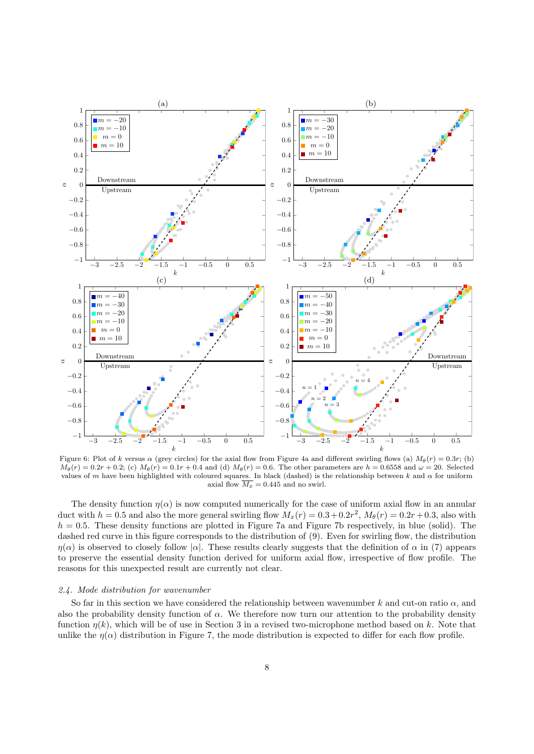

Figure 6: Plot of k versus  $\alpha$  (grey circles) for the axial flow from Figure 4a and different swirling flows (a)  $M_\theta(r) = 0.3r$ ; (b)  $M_{\theta}(r) = 0.2r + 0.2$ ; (c)  $M_{\theta}(r) = 0.1r + 0.4$  and (d)  $M_{\theta}(r) = 0.6$ . The other parameters are  $h = 0.6558$  and  $\omega = 20$ . Selected values of m have been highlighted with coloured squares. In black (dashed) is the relationship between k and  $\alpha$  for uniform axial flow  $\overline{M_x} = 0.445$  and no swirl.

The density function  $\eta(\alpha)$  is now computed numerically for the case of uniform axial flow in an annular duct with  $h = 0.5$  and also the more general swirling flow  $M_x(r) = 0.3 + 0.2r^2$ ,  $M_\theta(r) = 0.2r + 0.3$ , also with  $h = 0.5$ . These density functions are plotted in Figure 7a and Figure 7b respectively, in blue (solid). The dashed red curve in this figure corresponds to the distribution of (9). Even for swirling flow, the distribution  $\eta(\alpha)$  is observed to closely follow  $|\alpha|$ . These results clearly suggests that the definition of  $\alpha$  in (7) appears to preserve the essential density function derived for uniform axial flow, irrespective of flow profile. The reasons for this unexpected result are currently not clear.

### 2.4. Mode distribution for wavenumber

So far in this section we have considered the relationship between wavenumber k and cut-on ratio  $\alpha$ , and also the probability density function of  $\alpha$ . We therefore now turn our attention to the probability density function  $\eta(k)$ , which will be of use in Section 3 in a revised two-microphone method based on k. Note that unlike the  $\eta(\alpha)$  distribution in Figure 7, the mode distribution is expected to differ for each flow profile.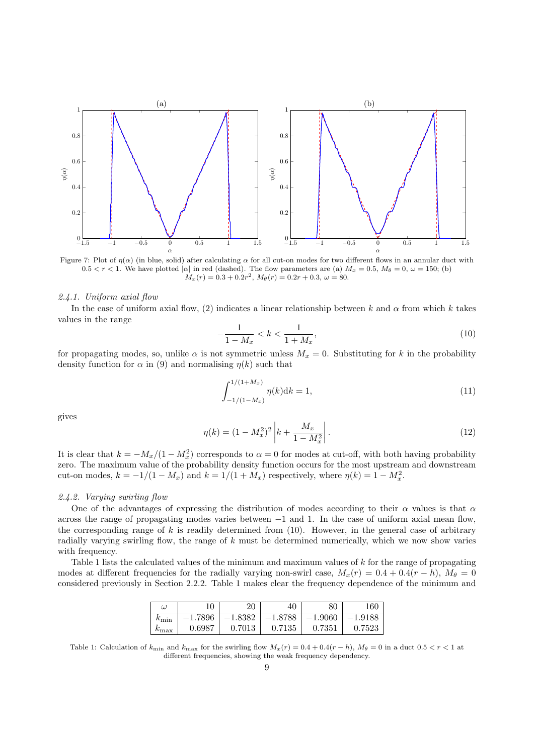

Figure 7: Plot of  $\eta(\alpha)$  (in blue, solid) after calculating  $\alpha$  for all cut-on modes for two different flows in an annular duct with  $0.5 < r < 1$ . We have plotted  $|\alpha|$  in red (dashed). The flow parameters are (a)  $M_x = 0.5$ ,  $M_\theta = 0$ ,  $\omega = 150$ ; (b)  $M_x(r) = 0.3 + 0.2r^2$ ,  $M_\theta(r) = 0.2r + 0.3$ ,  $\omega = 80$ .

# 2.4.1. Uniform axial flow

In the case of uniform axial flow, (2) indicates a linear relationship between k and  $\alpha$  from which k takes values in the range

$$
-\frac{1}{1 - M_x} < k < \frac{1}{1 + M_x},\tag{10}
$$

for propagating modes, so, unlike  $\alpha$  is not symmetric unless  $M_x = 0$ . Substituting for k in the probability density function for  $\alpha$  in (9) and normalising  $\eta(k)$  such that

$$
\int_{-1/(1-M_x)}^{1/(1+M_x)} \eta(k)dk = 1,
$$
\n(11)

gives

$$
\eta(k) = (1 - M_x^2)^2 \left| k + \frac{M_x}{1 - M_x^2} \right|.
$$
\n(12)

It is clear that  $k = -M_x/(1 - M_x^2)$  corresponds to  $\alpha = 0$  for modes at cut-off, with both having probability zero. The maximum value of the probability density function occurs for the most upstream and downstream cut-on modes,  $k = -1/(1 - M_x)$  and  $k = 1/(1 + M_x)$  respectively, where  $\eta(k) = 1 - M_x^2$ .

### 2.4.2. Varying swirling flow

One of the advantages of expressing the distribution of modes according to their  $\alpha$  values is that  $\alpha$ across the range of propagating modes varies between −1 and 1. In the case of uniform axial mean flow, the corresponding range of k is readily determined from  $(10)$ . However, in the general case of arbitrary radially varying swirling flow, the range of k must be determined numerically, which we now show varies with frequency.

Table 1 lists the calculated values of the minimum and maximum values of k for the range of propagating modes at different frequencies for the radially varying non-swirl case,  $M_x(r) = 0.4 + 0.4(r - h)$ ,  $M_\theta = 0$ considered previously in Section 2.2.2. Table 1 makes clear the frequency dependence of the minimum and

| $\omega$        |            | 20        | 40        | 80        | 160       |
|-----------------|------------|-----------|-----------|-----------|-----------|
| $k_{\min}$      | $-1.7896$  | $-1.8382$ | $-1.8788$ | $-1.9060$ | $-1.9188$ |
| $\kappa_{\max}$ | ${0.6987}$ | 0.7013    | 0.7135    | 0.7351    | 0.7523    |

Table 1: Calculation of  $k_{\text{min}}$  and  $k_{\text{max}}$  for the swirling flow  $M_x(r) = 0.4 + 0.4(r - h)$ ,  $M_\theta = 0$  in a duct  $0.5 < r < 1$  at different frequencies, showing the weak frequency dependency.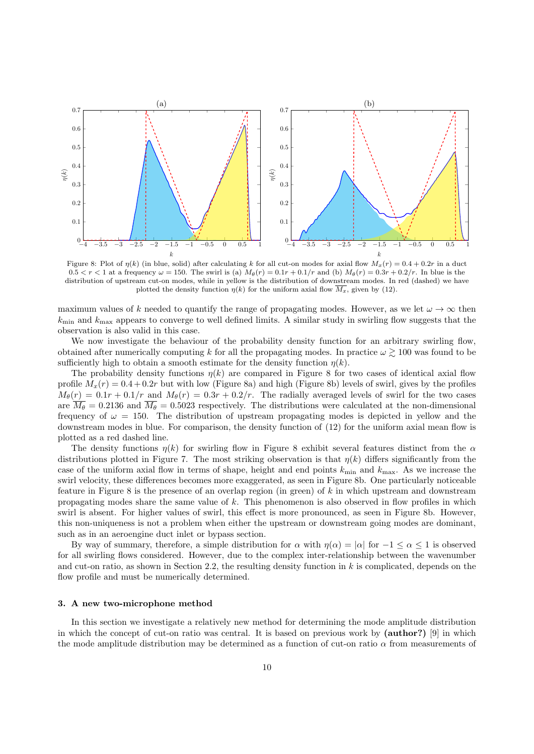

Figure 8: Plot of  $\eta(k)$  (in blue, solid) after calculating k for all cut-on modes for axial flow  $M_x(r) = 0.4 + 0.2r$  in a duct  $0.5 < r < 1$  at a frequency  $\omega = 150$ . The swirl is (a)  $M_{\theta}(r) = 0.1r + 0.1/r$  and (b)  $M_{\theta}(r) = 0.3r + 0.2/r$ . In blue is the distribution of upstream cut-on modes, while in yellow is the distribution of downstream modes. In red (dashed) we have plotted the density function  $\eta(k)$  for the uniform axial flow  $\overline{M_x}$ , given by (12).

maximum values of k needed to quantify the range of propagating modes. However, as we let  $\omega \to \infty$  then  $k_{\text{min}}$  and  $k_{\text{max}}$  appears to converge to well defined limits. A similar study in swirling flow suggests that the observation is also valid in this case.

We now investigate the behaviour of the probability density function for an arbitrary swirling flow, obtained after numerically computing k for all the propagating modes. In practice  $\omega \gtrsim 100$  was found to be sufficiently high to obtain a smooth estimate for the density function  $\eta(k)$ .

The probability density functions  $\eta(k)$  are compared in Figure 8 for two cases of identical axial flow profile  $M_x(r) = 0.4 + 0.2r$  but with low (Figure 8a) and high (Figure 8b) levels of swirl, gives by the profiles  $M_{\theta}(r) = 0.1r + 0.1/r$  and  $M_{\theta}(r) = 0.3r + 0.2/r$ . The radially averaged levels of swirl for the two cases are  $\overline{M_{\theta}} = 0.2136$  and  $\overline{M_{\theta}} = 0.5023$  respectively. The distributions were calculated at the non-dimensional frequency of  $\omega = 150$ . The distribution of upstream propagating modes is depicted in yellow and the downstream modes in blue. For comparison, the density function of (12) for the uniform axial mean flow is plotted as a red dashed line.

The density functions  $\eta(k)$  for swirling flow in Figure 8 exhibit several features distinct from the  $\alpha$ distributions plotted in Figure 7. The most striking observation is that  $\eta(k)$  differs significantly from the case of the uniform axial flow in terms of shape, height and end points  $k_{\text{min}}$  and  $k_{\text{max}}$ . As we increase the swirl velocity, these differences becomes more exaggerated, as seen in Figure 8b. One particularly noticeable feature in Figure 8 is the presence of an overlap region (in green) of  $k$  in which upstream and downstream propagating modes share the same value of  $k$ . This phenomenon is also observed in flow profiles in which swirl is absent. For higher values of swirl, this effect is more pronounced, as seen in Figure 8b. However, this non-uniqueness is not a problem when either the upstream or downstream going modes are dominant, such as in an aeroengine duct inlet or bypass section.

By way of summary, therefore, a simple distribution for  $\alpha$  with  $\eta(\alpha) = |\alpha|$  for  $-1 \leq \alpha \leq 1$  is observed for all swirling flows considered. However, due to the complex inter-relationship between the wavenumber and cut-on ratio, as shown in Section 2.2, the resulting density function in  $k$  is complicated, depends on the flow profile and must be numerically determined.

# 3. A new two-microphone method

In this section we investigate a relatively new method for determining the mode amplitude distribution in which the concept of cut-on ratio was central. It is based on previous work by (author?) [9] in which the mode amplitude distribution may be determined as a function of cut-on ratio  $\alpha$  from measurements of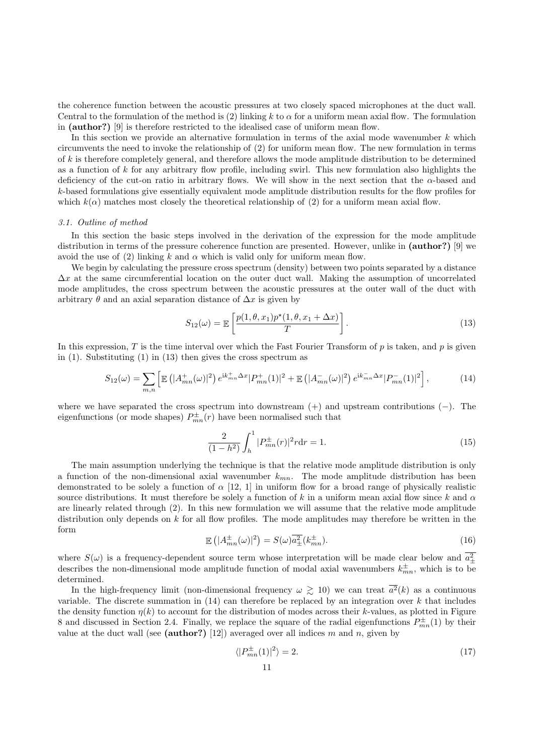the coherence function between the acoustic pressures at two closely spaced microphones at the duct wall. Central to the formulation of the method is (2) linking k to  $\alpha$  for a uniform mean axial flow. The formulation in (author?) [9] is therefore restricted to the idealised case of uniform mean flow.

In this section we provide an alternative formulation in terms of the axial mode wavenumber  $k$  which circumvents the need to invoke the relationship of (2) for uniform mean flow. The new formulation in terms of  $k$  is therefore completely general, and therefore allows the mode amplitude distribution to be determined as a function of  $k$  for any arbitrary flow profile, including swirl. This new formulation also highlights the deficiency of the cut-on ratio in arbitrary flows. We will show in the next section that the  $\alpha$ -based and k-based formulations give essentially equivalent mode amplitude distribution results for the flow profiles for which  $k(\alpha)$  matches most closely the theoretical relationship of (2) for a uniform mean axial flow.

#### 3.1. Outline of method

In this section the basic steps involved in the derivation of the expression for the mode amplitude distribution in terms of the pressure coherence function are presented. However, unlike in (**author?**) [9] we avoid the use of (2) linking k and  $\alpha$  which is valid only for uniform mean flow.

We begin by calculating the pressure cross spectrum (density) between two points separated by a distance  $\Delta x$  at the same circumferential location on the outer duct wall. Making the assumption of uncorrelated mode amplitudes, the cross spectrum between the acoustic pressures at the outer wall of the duct with arbitrary  $\theta$  and an axial separation distance of  $\Delta x$  is given by

$$
S_{12}(\omega) = \mathbb{E}\left[\frac{p(1,\theta,x_1)p^*(1,\theta,x_1+\Delta x)}{T}\right].
$$
\n(13)

In this expression,  $T$  is the time interval over which the Fast Fourier Transform of  $p$  is taken, and  $p$  is given in (1). Substituting (1) in (13) then gives the cross spectrum as

$$
S_{12}(\omega) = \sum_{m,n} \left[ \mathbb{E} \left( |A_{mn}^+(\omega)|^2 \right) e^{ik_{mn}^+\Delta x} |P_{mn}^+(1)|^2 + \mathbb{E} \left( |A_{mn}^-(\omega)|^2 \right) e^{ik_{mn}^-\Delta x} |P_{mn}^-(1)|^2 \right],\tag{14}
$$

where we have separated the cross spectrum into downstream  $(+)$  and upstream contributions  $(-)$ . The eigenfunctions (or mode shapes)  $P_{mn}^{\pm}(r)$  have been normalised such that

$$
\frac{2}{(1-h^2)}\int_h^1 |P_{mn}^{\pm}(r)|^2 r dr = 1.
$$
\n(15)

The main assumption underlying the technique is that the relative mode amplitude distribution is only a function of the non-dimensional axial wavenumber  $k_{mn}$ . The mode amplitude distribution has been demonstrated to be solely a function of  $\alpha$  [12, 1] in uniform flow for a broad range of physically realistic source distributions. It must therefore be solely a function of k in a uniform mean axial flow since k and  $\alpha$ are linearly related through (2). In this new formulation we will assume that the relative mode amplitude distribution only depends on  $k$  for all flow profiles. The mode amplitudes may therefore be written in the form

$$
\mathbb{E}\left(|A_{mn}^{\pm}(\omega)|^2\right) = S(\omega)\overline{a_{\pm}^2}(k_{mn}^{\pm}).\tag{16}
$$

where  $S(\omega)$  is a frequency-dependent source term whose interpretation will be made clear below and  $a<sub>1</sub><sup>2</sup>$ describes the non-dimensional mode amplitude function of modal axial wavenumbers  $k_{mn}^{\pm}$ , which is to be determined.

In the high-frequency limit (non-dimensional frequency  $\omega \geq 10$ ) we can treat  $\overline{a^2}(k)$  as a continuous variable. The discrete summation in  $(14)$  can therefore be replaced by an integration over k that includes the density function  $\eta(k)$  to account for the distribution of modes across their k-values, as plotted in Figure 8 and discussed in Section 2.4. Finally, we replace the square of the radial eigenfunctions  $P_{mn}^{\pm}(1)$  by their value at the duct wall (see (author?) [12]) averaged over all indices m and n, given by

$$
\langle |P_{mn}^{\pm}(1)|^2 \rangle = 2. \tag{17}
$$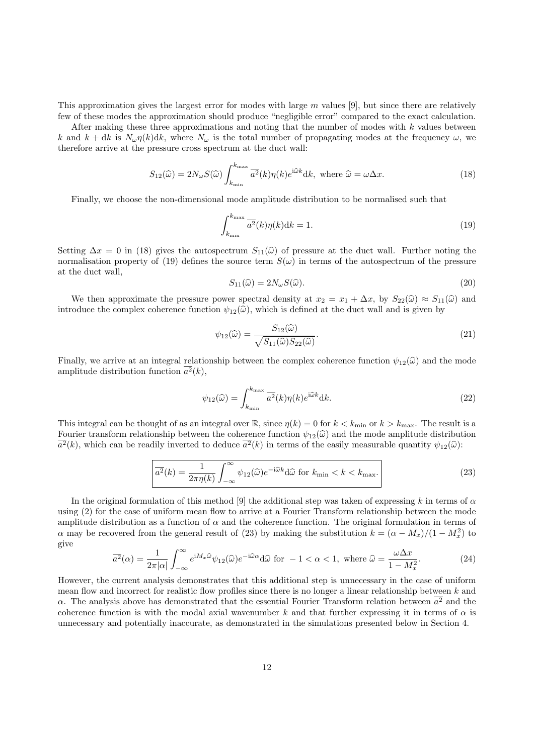This approximation gives the largest error for modes with large  $m$  values [9], but since there are relatively few of these modes the approximation should produce "negligible error" compared to the exact calculation.

After making these three approximations and noting that the number of modes with  $k$  values between k and  $k + dk$  is  $N_{\omega} \eta(k)dk$ , where  $N_{\omega}$  is the total number of propagating modes at the frequency  $\omega$ , we therefore arrive at the pressure cross spectrum at the duct wall:

$$
S_{12}(\hat{\omega}) = 2N_{\omega}S(\hat{\omega}) \int_{k_{\min}}^{k_{\max}} \overline{a^2}(k)\eta(k)e^{i\hat{\omega}k}dk, \text{ where } \hat{\omega} = \omega\Delta x. \tag{18}
$$

Finally, we choose the non-dimensional mode amplitude distribution to be normalised such that

$$
\int_{k_{\min}}^{k_{\max}} \overline{a^2}(k)\eta(k)\mathrm{d}k = 1.
$$
\n(19)

Setting  $\Delta x = 0$  in (18) gives the autospectrum  $S_{11}(\hat{\omega})$  of pressure at the duct wall. Further noting the normalisation property of (19) defines the source term  $S(\omega)$  in terms of the autospectrum of the pressure at the duct wall,

$$
S_{11}(\hat{\omega}) = 2N_{\omega}S(\hat{\omega}).
$$
\n(20)

We then approximate the pressure power spectral density at  $x_2 = x_1 + \Delta x$ , by  $S_{22}(\widehat{\omega}) \approx S_{11}(\widehat{\omega})$  and introduce the complex coherence function  $\psi_{12}(\hat{\omega})$ , which is defined at the duct wall and is given by

$$
\psi_{12}(\widehat{\omega}) = \frac{S_{12}(\widehat{\omega})}{\sqrt{S_{11}(\widehat{\omega})S_{22}(\widehat{\omega})}}.\tag{21}
$$

Finally, we arrive at an integral relationship between the complex coherence function  $\psi_{12}(\hat{\omega})$  and the mode amplitude distribution function  $a^2(k)$ ,

$$
\psi_{12}(\hat{\omega}) = \int_{k_{\min}}^{k_{\max}} \overline{a^2}(k)\eta(k)e^{i\hat{\omega}k}dk.
$$
\n(22)

This integral can be thought of as an integral over  $\mathbb{R}$ , since  $\eta(k) = 0$  for  $k < k_{\text{min}}$  or  $k > k_{\text{max}}$ . The result is a Fourier transform relationship between the coherence function  $\psi_{12}(\hat{\omega})$  and the mode amplitude distribution  $a^2(k)$ , which can be readily inverted to deduce  $a^2(k)$  in terms of the easily measurable quantity  $\psi_{12}(\hat{\omega})$ :

$$
\overline{a^2}(k) = \frac{1}{2\pi\eta(k)} \int_{-\infty}^{\infty} \psi_{12}(\widehat{\omega}) e^{-i\widehat{\omega}k} d\widehat{\omega} \text{ for } k_{\min} < k < k_{\max}.
$$
 (23)

In the original formulation of this method [9] the additional step was taken of expressing k in terms of  $\alpha$ using (2) for the case of uniform mean flow to arrive at a Fourier Transform relationship between the mode amplitude distribution as a function of  $\alpha$  and the coherence function. The original formulation in terms of  $\alpha$  may be recovered from the general result of (23) by making the substitution  $k = (\alpha - M_x)/(1 - M_x^2)$  to give

$$
\overline{a^2}(\alpha) = \frac{1}{2\pi|\alpha|} \int_{-\infty}^{\infty} e^{iM_x \widehat{\omega}} \psi_{12}(\widehat{\omega}) e^{-i\widehat{\omega}\alpha} d\widehat{\omega} \text{ for } -1 < \alpha < 1, \text{ where } \widehat{\omega} = \frac{\omega \Delta x}{1 - M_x^2}.
$$
 (24)

However, the current analysis demonstrates that this additional step is unnecessary in the case of uniform mean flow and incorrect for realistic flow profiles since there is no longer a linear relationship between  $k$  and  $\alpha$ . The analysis above has demonstrated that the essential Fourier Transform relation between  $a^2$  and the coherence function is with the modal axial wavenumber k and that further expressing it in terms of  $\alpha$  is unnecessary and potentially inaccurate, as demonstrated in the simulations presented below in Section 4.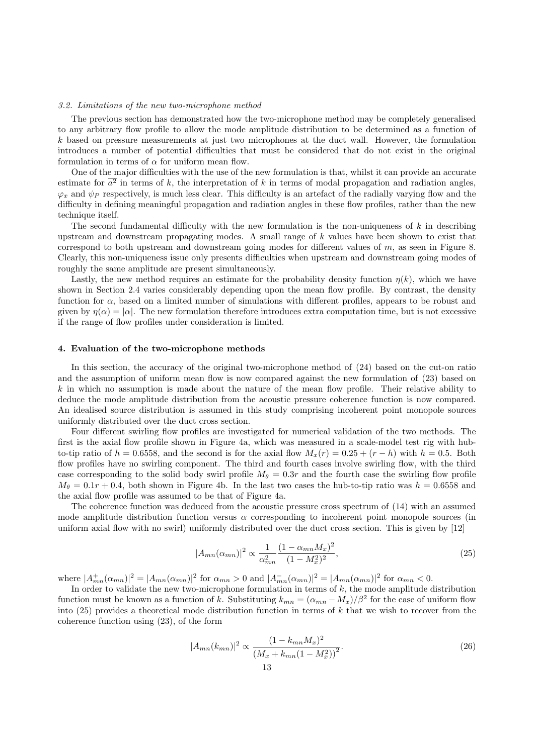### 3.2. Limitations of the new two-microphone method

The previous section has demonstrated how the two-microphone method may be completely generalised to any arbitrary flow profile to allow the mode amplitude distribution to be determined as a function of k based on pressure measurements at just two microphones at the duct wall. However, the formulation introduces a number of potential difficulties that must be considered that do not exist in the original formulation in terms of  $\alpha$  for uniform mean flow.

One of the major difficulties with the use of the new formulation is that, whilst it can provide an accurate estimate for  $a^2$  in terms of k, the interpretation of k in terms of modal propagation and radiation angles,  $\varphi_x$  and  $\psi_P$  respectively, is much less clear. This difficulty is an artefact of the radially varying flow and the difficulty in defining meaningful propagation and radiation angles in these flow profiles, rather than the new technique itself.

The second fundamental difficulty with the new formulation is the non-uniqueness of  $k$  in describing upstream and downstream propagating modes. A small range of k values have been shown to exist that correspond to both upstream and downstream going modes for different values of m, as seen in Figure 8. Clearly, this non-uniqueness issue only presents difficulties when upstream and downstream going modes of roughly the same amplitude are present simultaneously.

Lastly, the new method requires an estimate for the probability density function  $\eta(k)$ , which we have shown in Section 2.4 varies considerably depending upon the mean flow profile. By contrast, the density function for  $\alpha$ , based on a limited number of simulations with different profiles, appears to be robust and given by  $\eta(\alpha) = |\alpha|$ . The new formulation therefore introduces extra computation time, but is not excessive if the range of flow profiles under consideration is limited.

# 4. Evaluation of the two-microphone methods

In this section, the accuracy of the original two-microphone method of (24) based on the cut-on ratio and the assumption of uniform mean flow is now compared against the new formulation of (23) based on  $k$  in which no assumption is made about the nature of the mean flow profile. Their relative ability to deduce the mode amplitude distribution from the acoustic pressure coherence function is now compared. An idealised source distribution is assumed in this study comprising incoherent point monopole sources uniformly distributed over the duct cross section.

Four different swirling flow profiles are investigated for numerical validation of the two methods. The first is the axial flow profile shown in Figure 4a, which was measured in a scale-model test rig with hubto-tip ratio of  $h = 0.6558$ , and the second is for the axial flow  $M_x(r) = 0.25 + (r - h)$  with  $h = 0.5$ . Both flow profiles have no swirling component. The third and fourth cases involve swirling flow, with the third case corresponding to the solid body swirl profile  $M_{\theta} = 0.3r$  and the fourth case the swirling flow profile  $M_{\theta} = 0.1r + 0.4$ , both shown in Figure 4b. In the last two cases the hub-to-tip ratio was  $h = 0.6558$  and the axial flow profile was assumed to be that of Figure 4a.

The coherence function was deduced from the acoustic pressure cross spectrum of (14) with an assumed mode amplitude distribution function versus  $\alpha$  corresponding to incoherent point monopole sources (in uniform axial flow with no swirl) uniformly distributed over the duct cross section. This is given by [12]

$$
|A_{mn}(\alpha_{mn})|^2 \propto \frac{1}{\alpha_{mn}^2} \frac{(1 - \alpha_{mn} M_x)^2}{(1 - M_x^2)^2},\tag{25}
$$

where  $|A_{mn}^+(\alpha_{mn})|^2 = |A_{mn}(\alpha_{mn})|^2$  for  $\alpha_{mn} > 0$  and  $|A_{mn}^-(\alpha_{mn})|^2 = |A_{mn}(\alpha_{mn})|^2$  for  $\alpha_{mn} < 0$ .

In order to validate the new two-microphone formulation in terms of  $k$ , the mode amplitude distribution function must be known as a function of k. Substituting  $k_{mn} = (\alpha_{mn} - M_x)/\beta^2$  for the case of uniform flow into (25) provides a theoretical mode distribution function in terms of  $k$  that we wish to recover from the coherence function using (23), of the form

$$
|A_{mn}(k_{mn})|^2 \propto \frac{(1 - k_{mn} M_x)^2}{(M_x + k_{mn}(1 - M_x^2))^2}.
$$
\n(26)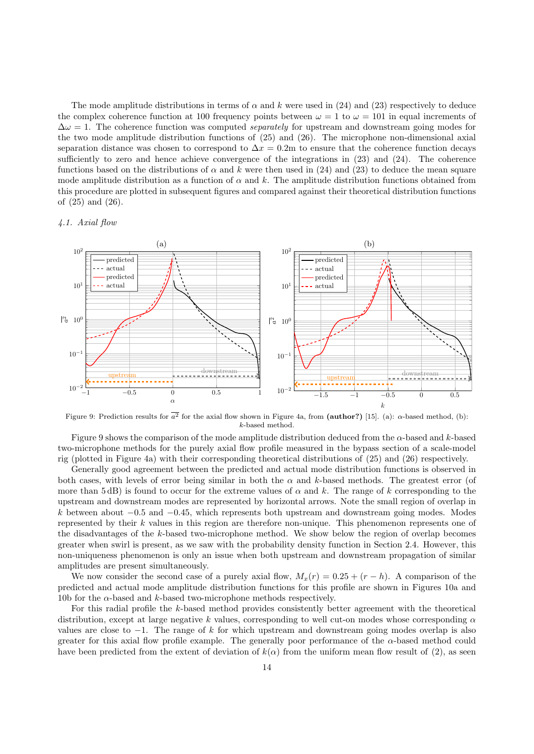The mode amplitude distributions in terms of  $\alpha$  and k were used in (24) and (23) respectively to deduce the complex coherence function at 100 frequency points between  $\omega = 1$  to  $\omega = 101$  in equal increments of  $\Delta\omega = 1$ . The coherence function was computed *separately* for upstream and downstream going modes for the two mode amplitude distribution functions of (25) and (26). The microphone non-dimensional axial separation distance was chosen to correspond to  $\Delta x = 0.2$ m to ensure that the coherence function decays sufficiently to zero and hence achieve convergence of the integrations in (23) and (24). The coherence functions based on the distributions of  $\alpha$  and k were then used in (24) and (23) to deduce the mean square mode amplitude distribution as a function of  $\alpha$  and k. The amplitude distribution functions obtained from this procedure are plotted in subsequent figures and compared against their theoretical distribution functions of (25) and (26).

# 4.1. Axial flow



Figure 9: Prediction results for  $a^2$  for the axial flow shown in Figure 4a, from (author?) [15]. (a):  $\alpha$ -based method, (b): k-based method.

Figure 9 shows the comparison of the mode amplitude distribution deduced from the  $\alpha$ -based and k-based two-microphone methods for the purely axial flow profile measured in the bypass section of a scale-model rig (plotted in Figure 4a) with their corresponding theoretical distributions of (25) and (26) respectively.

Generally good agreement between the predicted and actual mode distribution functions is observed in both cases, with levels of error being similar in both the  $\alpha$  and k-based methods. The greatest error (of more than 5 dB) is found to occur for the extreme values of  $\alpha$  and k. The range of k corresponding to the upstream and downstream modes are represented by horizontal arrows. Note the small region of overlap in k between about  $-0.5$  and  $-0.45$ , which represents both upstream and downstream going modes. Modes represented by their k values in this region are therefore non-unique. This phenomenon represents one of the disadvantages of the k-based two-microphone method. We show below the region of overlap becomes greater when swirl is present, as we saw with the probability density function in Section 2.4. However, this non-uniqueness phenomenon is only an issue when both upstream and downstream propagation of similar amplitudes are present simultaneously.

We now consider the second case of a purely axial flow,  $M_x(r) = 0.25 + (r - h)$ . A comparison of the predicted and actual mode amplitude distribution functions for this profile are shown in Figures 10a and 10b for the  $\alpha$ -based and k-based two-microphone methods respectively.

For this radial profile the k-based method provides consistently better agreement with the theoretical distribution, except at large negative k values, corresponding to well cut-on modes whose corresponding  $\alpha$ values are close to  $-1$ . The range of k for which upstream and downstream going modes overlap is also greater for this axial flow profile example. The generally poor performance of the  $\alpha$ -based method could have been predicted from the extent of deviation of  $k(\alpha)$  from the uniform mean flow result of (2), as seen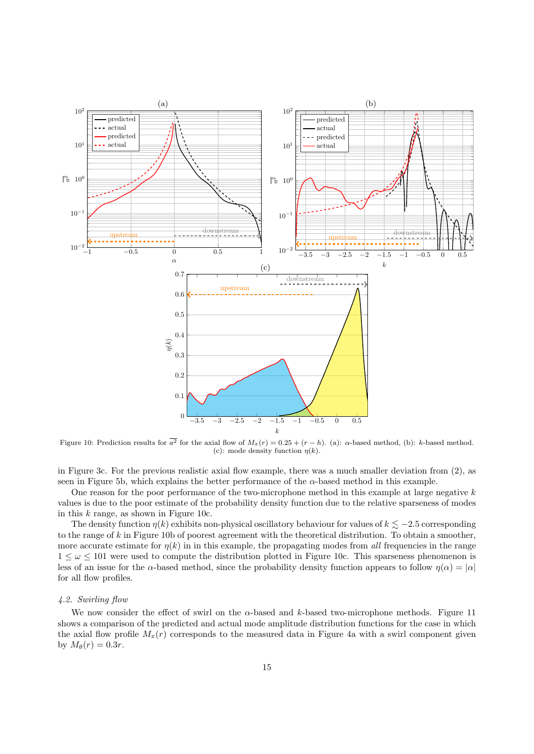

Figure 10: Prediction results for  $a^2$  for the axial flow of  $M_x(r) = 0.25 + (r - h)$ . (a):  $\alpha$ -based method, (b): k-based method. (c): mode density function  $\eta(k)$ .

in Figure 3c. For the previous realistic axial flow example, there was a much smaller deviation from (2), as seen in Figure 5b, which explains the better performance of the  $\alpha$ -based method in this example.

One reason for the poor performance of the two-microphone method in this example at large negative k values is due to the poor estimate of the probability density function due to the relative sparseness of modes in this  $k$  range, as shown in Figure 10c.

The density function  $\eta(k)$  exhibits non-physical oscillatory behaviour for values of  $k \leq -2.5$  corresponding to the range of k in Figure 10b of poorest agreement with the theoretical distribution. To obtain a smoother, more accurate estimate for  $\eta(k)$  in in this example, the propagating modes from all frequencies in the range  $1 \leq \omega \leq 101$  were used to compute the distribution plotted in Figure 10c. This sparseness phenomenon is less of an issue for the  $\alpha$ -based method, since the probability density function appears to follow  $\eta(\alpha) = |\alpha|$ for all flow profiles.

### 4.2. Swirling flow

We now consider the effect of swirl on the  $\alpha$ -based and k-based two-microphone methods. Figure 11 shows a comparison of the predicted and actual mode amplitude distribution functions for the case in which the axial flow profile  $M_x(r)$  corresponds to the measured data in Figure 4a with a swirl component given by  $M_{\theta}(r) = 0.3r$ .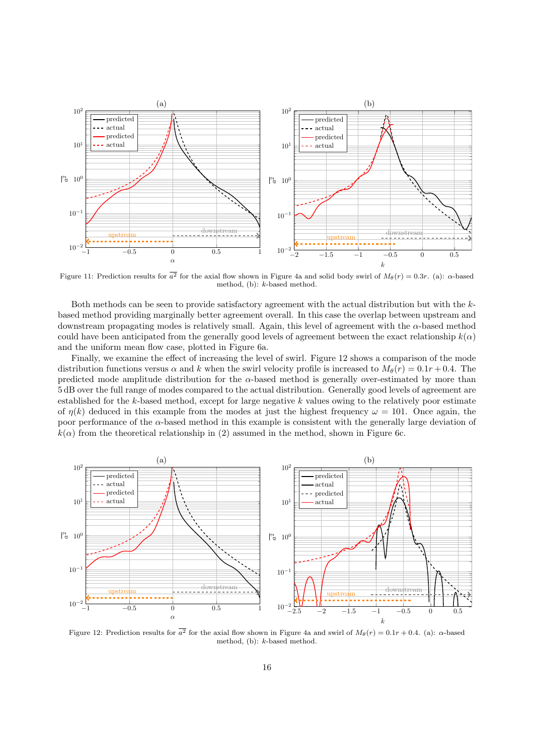

Figure 11: Prediction results for  $a^2$  for the axial flow shown in Figure 4a and solid body swirl of  $M_\theta(r) = 0.3r$ . (a):  $\alpha$ -based method, (b): k-based method.

Both methods can be seen to provide satisfactory agreement with the actual distribution but with the  $k$ based method providing marginally better agreement overall. In this case the overlap between upstream and downstream propagating modes is relatively small. Again, this level of agreement with the  $\alpha$ -based method could have been anticipated from the generally good levels of agreement between the exact relationship  $k(\alpha)$ and the uniform mean flow case, plotted in Figure 6a.

Finally, we examine the effect of increasing the level of swirl. Figure 12 shows a comparison of the mode distribution functions versus  $\alpha$  and k when the swirl velocity profile is increased to  $M_{\theta}(r) = 0.1r + 0.4$ . The predicted mode amplitude distribution for the  $\alpha$ -based method is generally over-estimated by more than 5 dB over the full range of modes compared to the actual distribution. Generally good levels of agreement are established for the  $k$ -based method, except for large negative  $k$  values owing to the relatively poor estimate of  $\eta(k)$  deduced in this example from the modes at just the highest frequency  $\omega = 101$ . Once again, the poor performance of the α-based method in this example is consistent with the generally large deviation of  $k(\alpha)$  from the theoretical relationship in (2) assumed in the method, shown in Figure 6c.



Figure 12: Prediction results for  $a^2$  for the axial flow shown in Figure 4a and swirl of  $M_\theta(r) = 0.1r + 0.4$ . (a):  $\alpha$ -based method, (b): k-based method.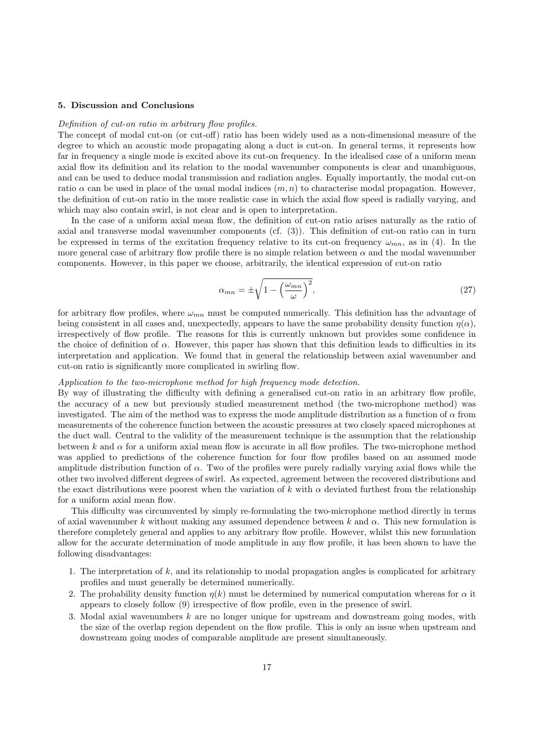# 5. Discussion and Conclusions

# Definition of cut-on ratio in arbitrary flow profiles.

The concept of modal cut-on (or cut-off) ratio has been widely used as a non-dimensional measure of the degree to which an acoustic mode propagating along a duct is cut-on. In general terms, it represents how far in frequency a single mode is excited above its cut-on frequency. In the idealised case of a uniform mean axial flow its definition and its relation to the modal wavenumber components is clear and unambiguous, and can be used to deduce modal transmission and radiation angles. Equally importantly, the modal cut-on ratio  $\alpha$  can be used in place of the usual modal indices  $(m, n)$  to characterise modal propagation. However, the definition of cut-on ratio in the more realistic case in which the axial flow speed is radially varying, and which may also contain swirl, is not clear and is open to interpretation.

In the case of a uniform axial mean flow, the definition of cut-on ratio arises naturally as the ratio of axial and transverse modal wavenumber components (cf. (3)). This definition of cut-on ratio can in turn be expressed in terms of the excitation frequency relative to its cut-on frequency  $\omega_{mn}$ , as in (4). In the more general case of arbitrary flow profile there is no simple relation between  $\alpha$  and the modal wavenumber components. However, in this paper we choose, arbitrarily, the identical expression of cut-on ratio

$$
\alpha_{mn} = \pm \sqrt{1 - \left(\frac{\omega_{mn}}{\omega}\right)^2},\tag{27}
$$

for arbitrary flow profiles, where  $\omega_{mn}$  must be computed numerically. This definition has the advantage of being consistent in all cases and, unexpectedly, appears to have the same probability density function  $\eta(\alpha)$ , irrespectively of flow profile. The reasons for this is currently unknown but provides some confidence in the choice of definition of  $\alpha$ . However, this paper has shown that this definition leads to difficulties in its interpretation and application. We found that in general the relationship between axial wavenumber and cut-on ratio is significantly more complicated in swirling flow.

# Application to the two-microphone method for high frequency mode detection.

By way of illustrating the difficulty with defining a generalised cut-on ratio in an arbitrary flow profile, the accuracy of a new but previously studied measurement method (the two-microphone method) was investigated. The aim of the method was to express the mode amplitude distribution as a function of  $\alpha$  from measurements of the coherence function between the acoustic pressures at two closely spaced microphones at the duct wall. Central to the validity of the measurement technique is the assumption that the relationship between k and  $\alpha$  for a uniform axial mean flow is accurate in all flow profiles. The two-microphone method was applied to predictions of the coherence function for four flow profiles based on an assumed mode amplitude distribution function of  $\alpha$ . Two of the profiles were purely radially varying axial flows while the other two involved different degrees of swirl. As expected, agreement between the recovered distributions and the exact distributions were poorest when the variation of k with  $\alpha$  deviated furthest from the relationship for a uniform axial mean flow.

This difficulty was circumvented by simply re-formulating the two-microphone method directly in terms of axial wavenumber k without making any assumed dependence between k and  $\alpha$ . This new formulation is therefore completely general and applies to any arbitrary flow profile. However, whilst this new formulation allow for the accurate determination of mode amplitude in any flow profile, it has been shown to have the following disadvantages:

- 1. The interpretation of k, and its relationship to modal propagation angles is complicated for arbitrary profiles and must generally be determined numerically.
- 2. The probability density function  $\eta(k)$  must be determined by numerical computation whereas for  $\alpha$  it appears to closely follow (9) irrespective of flow profile, even in the presence of swirl.
- 3. Modal axial wavenumbers  $k$  are no longer unique for upstream and downstream going modes, with the size of the overlap region dependent on the flow profile. This is only an issue when upstream and downstream going modes of comparable amplitude are present simultaneously.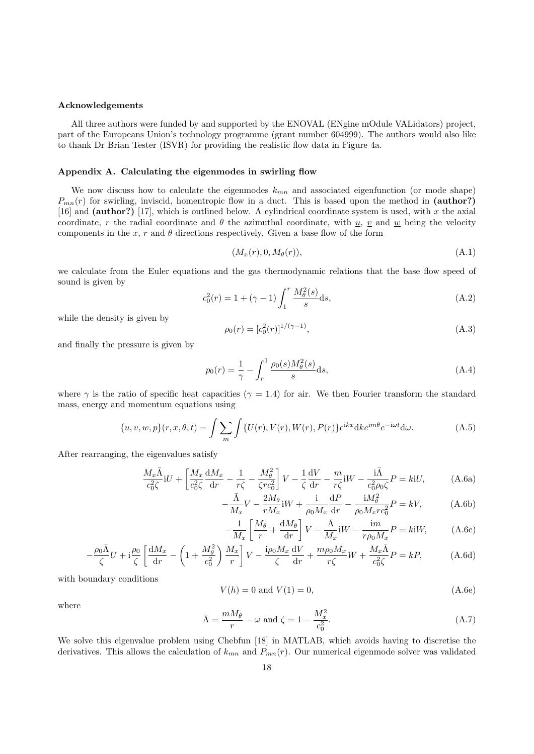# Acknowledgements

All three authors were funded by and supported by the ENOVAL (ENgine mOdule VALidators) project, part of the Europeans Union's technology programme (grant number 604999). The authors would also like to thank Dr Brian Tester (ISVR) for providing the realistic flow data in Figure 4a.

# Appendix A. Calculating the eigenmodes in swirling flow

We now discuss how to calculate the eigenmodes  $k_{mn}$  and associated eigenfunction (or mode shape)  $P_{mn}(r)$  for swirling, inviscid, homentropic flow in a duct. This is based upon the method in (author?) [16] and (author?) [17], which is outlined below. A cylindrical coordinate system is used, with  $x$  the axial coordinate, r the radial coordinate and  $\theta$  the azimuthal coordinate, with  $\underline{u}$ ,  $\underline{v}$  and  $\underline{w}$  being the velocity components in the x, r and  $\theta$  directions respectively. Given a base flow of the form

$$
(M_x(r), 0, M_\theta(r)), \tag{A.1}
$$

we calculate from the Euler equations and the gas thermodynamic relations that the base flow speed of sound is given by

$$
c_0^2(r) = 1 + (\gamma - 1) \int_1^r \frac{M_\theta^2(s)}{s} ds,
$$
\n(A.2)

while the density is given by

$$
\rho_0(r) = [c_0^2(r)]^{1/(\gamma - 1)},\tag{A.3}
$$

and finally the pressure is given by

$$
p_0(r) = \frac{1}{\gamma} - \int_r^1 \frac{\rho_0(s) M_\theta^2(s)}{s} ds,
$$
\n(A.4)

where  $\gamma$  is the ratio of specific heat capacities ( $\gamma = 1.4$ ) for air. We then Fourier transform the standard mass, energy and momentum equations using

$$
\{u, v, w, p\}(r, x, \theta, t) = \int \sum_{m} \int \{U(r), V(r), W(r), P(r)\} e^{ikx} dk e^{im\theta} e^{-i\omega t} d\omega.
$$
 (A.5)

After rearranging, the eigenvalues satisfy

$$
\frac{M_x \bar{\Lambda}}{c_0^2 \zeta} iU + \left[ \frac{M_x}{c_0^2 \zeta} \frac{dM_x}{dr} - \frac{1}{r\zeta} - \frac{M_\theta^2}{\zeta r c_0^2} \right] V - \frac{1}{\zeta} \frac{dV}{dr} - \frac{m}{r\zeta} iW - \frac{i\bar{\Lambda}}{c_0^2 \rho_0 \zeta} P = kiU,
$$
 (A.6a)

$$
-\frac{\bar{\Lambda}}{M_x}V - \frac{2M_\theta}{rM_x}iW + \frac{i}{\rho_0 M_x}\frac{dP}{dr} - \frac{iM_\theta^2}{\rho_0 M_x r c_0^2}P = kV,
$$
 (A.6b)

$$
-\frac{1}{M_x} \left[ \frac{M_\theta}{r} + \frac{dM_\theta}{dr} \right] V - \frac{\bar{\Lambda}}{M_x} iW - \frac{im}{r\rho_0 M_x} P = kiW, \tag{A.6c}
$$

$$
-\frac{\rho_0 \bar{\Lambda}}{\zeta} U + i \frac{\rho_0}{\zeta} \left[ \frac{dM_x}{dr} - \left( 1 + \frac{M_\theta^2}{c_0^2} \right) \frac{M_x}{r} \right] V - \frac{i \rho_0 M_x}{\zeta} \frac{dV}{dr} + \frac{m \rho_0 M_x}{r \zeta} W + \frac{M_x \bar{\Lambda}}{c_0^2 \zeta} P = kP,
$$
 (A.6d)

with boundary conditions

$$
V(h) = 0 \text{ and } V(1) = 0,
$$
\n(A.6e)

where

$$
\bar{\Lambda} = \frac{mM_{\theta}}{r} - \omega \text{ and } \zeta = 1 - \frac{M_x^2}{c_0^2}.
$$
\n(A.7)

We solve this eigenvalue problem using Chebfun [18] in MATLAB, which avoids having to discretise the derivatives. This allows the calculation of  $k_{mn}$  and  $P_{mn}(r)$ . Our numerical eigenmode solver was validated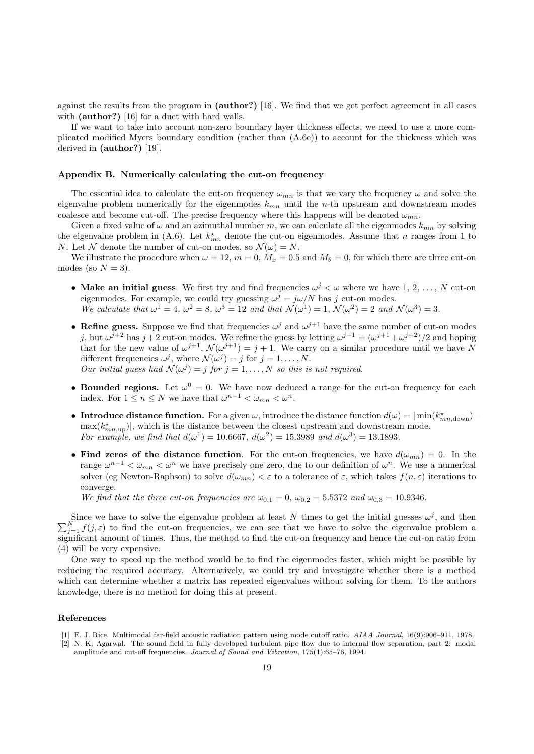against the results from the program in (author?) [16]. We find that we get perfect agreement in all cases with (**author**?) [16] for a duct with hard walls.

If we want to take into account non-zero boundary layer thickness effects, we need to use a more complicated modified Myers boundary condition (rather than (A.6e)) to account for the thickness which was derived in (author?) [19].

# Appendix B. Numerically calculating the cut-on frequency

The essential idea to calculate the cut-on frequency  $\omega_{mn}$  is that we vary the frequency  $\omega$  and solve the eigenvalue problem numerically for the eigenmodes  $k_{mn}$  until the n-th upstream and downstream modes coalesce and become cut-off. The precise frequency where this happens will be denoted  $\omega_{mn}$ .

Given a fixed value of  $\omega$  and an azimuthal number m, we can calculate all the eigenmodes  $k_{mn}$  by solving the eigenvalue problem in (A.6). Let  $k_{mn}^*$  denote the cut-on eigenmodes. Assume that n ranges from 1 to N. Let N denote the number of cut-on modes, so  $\mathcal{N}(\omega) = N$ .

We illustrate the procedure when  $\omega = 12$ ,  $m = 0$ ,  $M_x = 0.5$  and  $M_\theta = 0$ , for which there are three cut-on modes (so  $N = 3$ ).

- Make an initial guess. We first try and find frequencies  $\omega^j < \omega$  where we have 1, 2, ..., N cut-on eigenmodes. For example, we could try guessing  $\omega^j = j\omega/N$  has j cut-on modes. We calculate that  $\omega^1 = 4$ ,  $\omega^2 = 8$ ,  $\omega^3 = 12$  and that  $\mathcal{N}(\omega^1) = 1$ ,  $\mathcal{N}(\omega^2) = 2$  and  $\mathcal{N}(\omega^3) = 3$ .
- Refine guess. Suppose we find that frequencies  $\omega^j$  and  $\omega^{j+1}$  have the same number of cut-on modes j, but  $\omega^{j+2}$  has  $j+2$  cut-on modes. We refine the guess by letting  $\omega^{j+1} = (\omega^{j+1} + \omega^{j+2})/2$  and hoping that for the new value of  $\omega^{j+1}$ ,  $\mathcal{N}(\omega^{j+1}) = j + 1$ . We carry on a similar procedure until we have N different frequencies  $\omega^j$ , where  $\mathcal{N}(\omega^j) = j$  for  $j = 1, ..., N$ . Our initial guess had  $\mathcal{N}(\omega^j) = j$  for  $j = 1, ..., N$  so this is not required.
- Bounded regions. Let  $\omega^0 = 0$ . We have now deduced a range for the cut-on frequency for each index. For  $1 \le n \le N$  we have that  $\omega^{n-1} < \omega_{mn} < \omega^n$ .
- Introduce distance function. For a given  $\omega$ , introduce the distance function  $d(\omega) = |\min(k^*_{mn,\text{down}}) \max(k^{\star}_{mn,\text{up}})|$ , which is the distance between the closest upstream and downstream mode. For example, we find that  $d(\omega^1) = 10.6667$ ,  $d(\omega^2) = 15.3989$  and  $d(\omega^3) = 13.1893$ .
- Find zeros of the distance function. For the cut-on frequencies, we have  $d(\omega_{mn}) = 0$ . In the range  $\omega^{n-1} < \omega_{mn} < \omega^n$  we have precisely one zero, due to our definition of  $\omega^n$ . We use a numerical solver (eg Newton-Raphson) to solve  $d(\omega_{mn}) < \varepsilon$  to a tolerance of  $\varepsilon$ , which takes  $f(n, \varepsilon)$  iterations to converge.

We find that the three cut-on frequencies are  $\omega_{0,1} = 0$ ,  $\omega_{0,2} = 5.5372$  and  $\omega_{0,3} = 10.9346$ .

Since we have to solve the eigenvalue problem at least N times to get the initial guesses  $\omega^j$  $\sum$ Since we have to solve the eigenvalue problem at least N times to get the initial guesses  $\omega^j$ , and then  $N = 1$   $f(j, \varepsilon)$  to find the cut-on frequencies, we can see that we have to solve the eigenvalue problem a significant amount of times. Thus, the method to find the cut-on frequency and hence the cut-on ratio from (4) will be very expensive.

One way to speed up the method would be to find the eigenmodes faster, which might be possible by reducing the required accuracy. Alternatively, we could try and investigate whether there is a method which can determine whether a matrix has repeated eigenvalues without solving for them. To the authors knowledge, there is no method for doing this at present.

## References

- [1] E. J. Rice. Multimodal far-field acoustic radiation pattern using mode cutoff ratio. AIAA Journal, 16(9):906–911, 1978.
- N. K. Agarwal. The sound field in fully developed turbulent pipe flow due to internal flow separation, part 2: modal amplitude and cut-off frequencies. Journal of Sound and Vibration, 175(1):65–76, 1994.